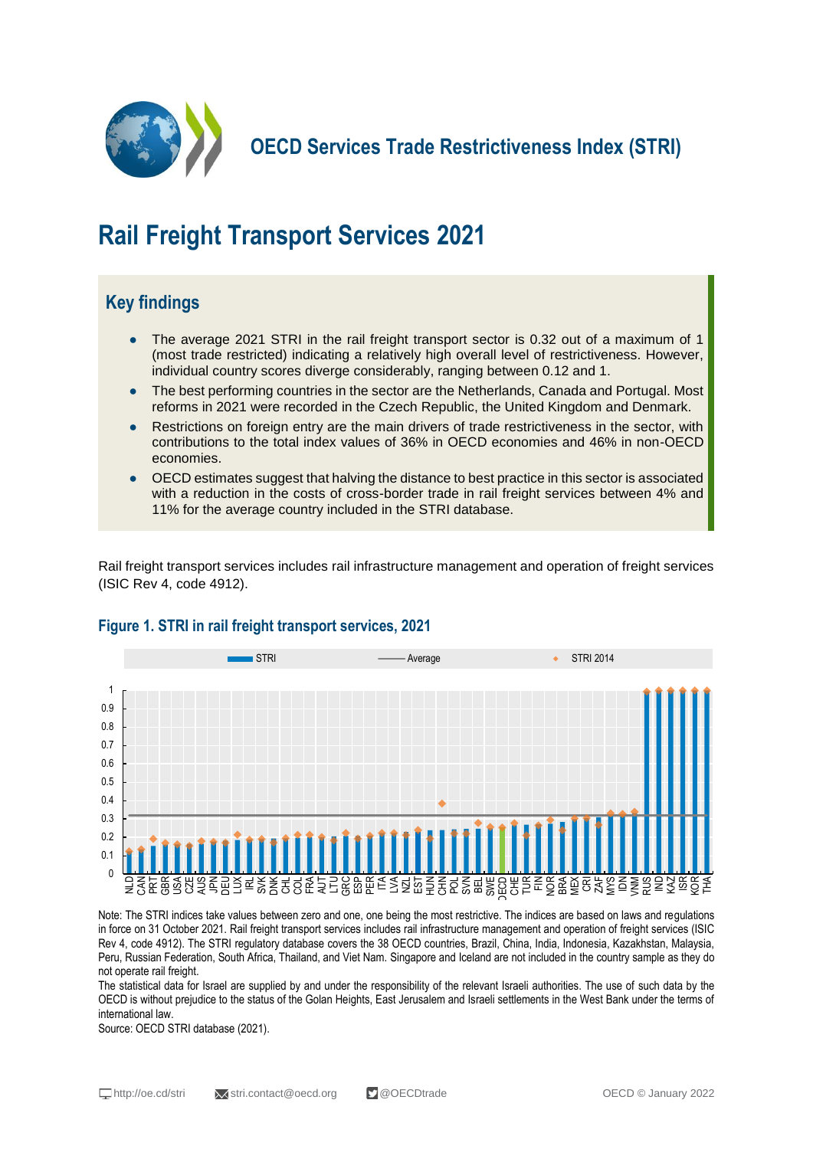

**OECD Services Trade Restrictiveness Index (STRI)**

# **Rail Freight Transport Services 2021**

## **Key findings**

- The average 2021 STRI in the rail freight transport sector is 0.32 out of a maximum of 1 (most trade restricted) indicating a relatively high overall level of restrictiveness. However, individual country scores diverge considerably, ranging between 0.12 and 1.
- The best performing countries in the sector are the Netherlands, Canada and Portugal. Most reforms in 2021 were recorded in the Czech Republic, the United Kingdom and Denmark.
- Restrictions on foreign entry are the main drivers of trade restrictiveness in the sector, with contributions to the total index values of 36% in OECD economies and 46% in non-OECD economies.
- OECD estimates suggest that halving the distance to best practice in this sector is associated with a reduction in the costs of cross-border trade in rail freight services between 4% and 11% for the average country included in the STRI database.

Rail freight transport services includes rail infrastructure management and operation of freight services (ISIC Rev 4, code 4912).



#### **Figure 1. STRI in rail freight transport services, 2021**

Note: The STRI indices take values between zero and one, one being the most restrictive. The indices are based on laws and regulations in force on 31 October 2021. Rail freight transport services includes rail infrastructure management and operation of freight services (ISIC Rev 4, code 4912). The STRI regulatory database covers the 38 OECD countries, Brazil, China, India, Indonesia, Kazakhstan, Malaysia, Peru, Russian Federation, South Africa, Thailand, and Viet Nam. Singapore and Iceland are not included in the country sample as they do not operate rail freight.

The statistical data for Israel are supplied by and under the responsibility of the relevant Israeli authorities. The use of such data by the OECD is without prejudice to the status of the Golan Heights, East Jerusalem and Israeli settlements in the West Bank under the terms of international law.

Source: OECD STRI database (2021).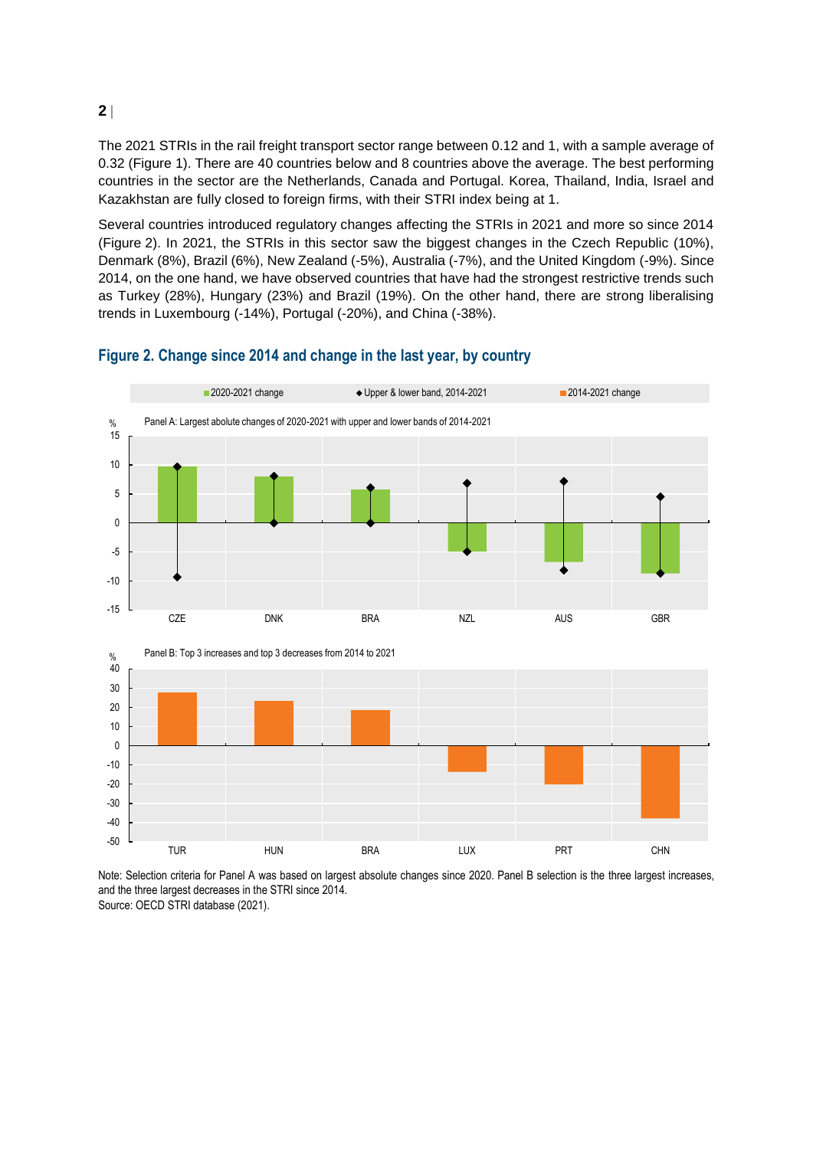The 2021 STRIs in the rail freight transport sector range between 0.12 and 1, with a sample average of 0.32 (Figure 1). There are 40 countries below and 8 countries above the average. The best performing countries in the sector are the Netherlands, Canada and Portugal. Korea, Thailand, India, Israel and Kazakhstan are fully closed to foreign firms, with their STRI index being at 1.

Several countries introduced regulatory changes affecting the STRIs in 2021 and more so since 2014 (Figure 2). In 2021, the STRIs in this sector saw the biggest changes in the Czech Republic (10%), Denmark (8%), Brazil (6%), New Zealand (-5%), Australia (-7%), and the United Kingdom (-9%). Since 2014, on the one hand, we have observed countries that have had the strongest restrictive trends such as Turkey (28%), Hungary (23%) and Brazil (19%). On the other hand, there are strong liberalising trends in Luxembourg (-14%), Portugal (-20%), and China (-38%).



#### **Figure 2. Change since 2014 and change in the last year, by country**

Note: Selection criteria for Panel A was based on largest absolute changes since 2020. Panel B selection is the three largest increases, and the three largest decreases in the STRI since 2014. Source: OECD STRI database (2021).

**2**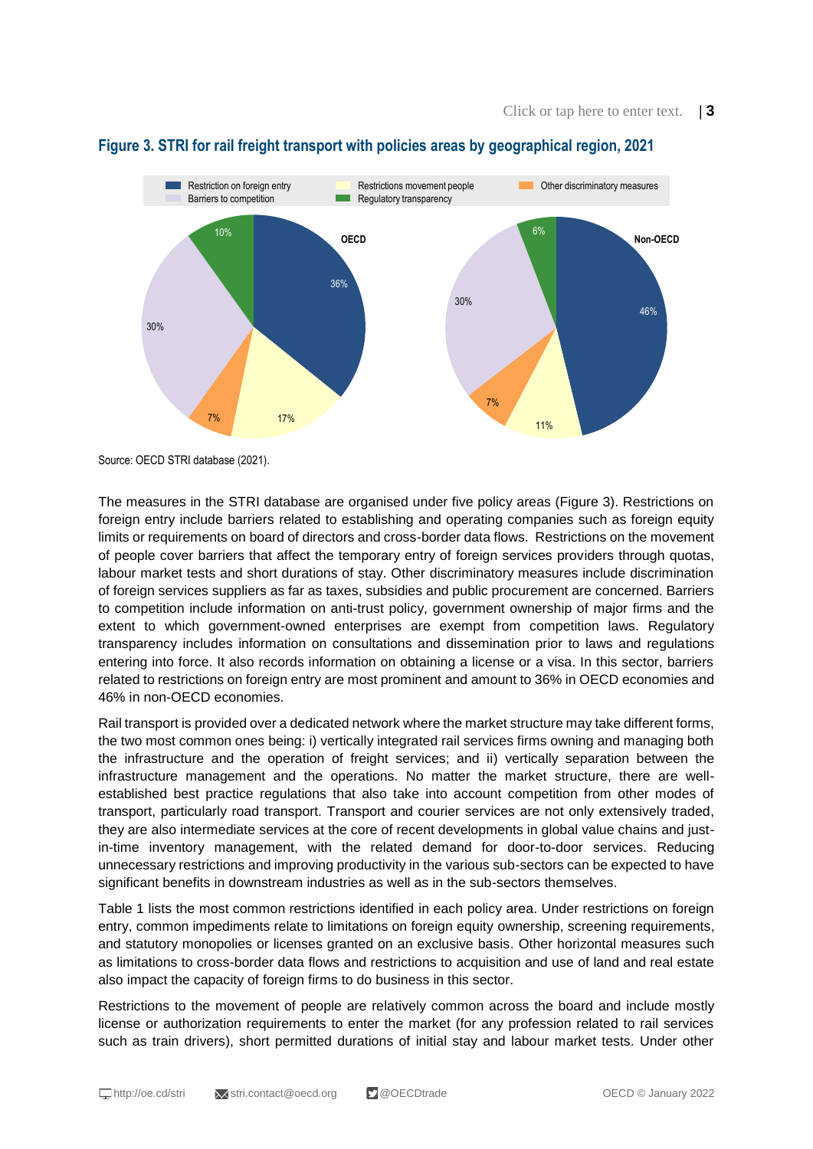

#### **Figure 3. STRI for rail freight transport with policies areas by geographical region, 2021**

Source: OECD STRI database (2021).

The measures in the STRI database are organised under five policy areas (Figure 3). Restrictions on foreign entry include barriers related to establishing and operating companies such as foreign equity limits or requirements on board of directors and cross-border data flows. Restrictions on the movement of people cover barriers that affect the temporary entry of foreign services providers through quotas, labour market tests and short durations of stay. Other discriminatory measures include discrimination of foreign services suppliers as far as taxes, subsidies and public procurement are concerned. Barriers to competition include information on anti-trust policy, government ownership of major firms and the extent to which government-owned enterprises are exempt from competition laws. Regulatory transparency includes information on consultations and dissemination prior to laws and regulations entering into force. It also records information on obtaining a license or a visa. In this sector, barriers related to restrictions on foreign entry are most prominent and amount to 36% in OECD economies and 46% in non-OECD economies.

Rail transport is provided over a dedicated network where the market structure may take different forms, the two most common ones being: i) vertically integrated rail services firms owning and managing both the infrastructure and the operation of freight services; and ii) vertically separation between the infrastructure management and the operations. No matter the market structure, there are wellestablished best practice regulations that also take into account competition from other modes of transport, particularly road transport. Transport and courier services are not only extensively traded, they are also intermediate services at the core of recent developments in global value chains and justin-time inventory management, with the related demand for door-to-door services. Reducing unnecessary restrictions and improving productivity in the various sub-sectors can be expected to have significant benefits in downstream industries as well as in the sub-sectors themselves.

Table 1 lists the most common restrictions identified in each policy area. Under restrictions on foreign entry, common impediments relate to limitations on foreign equity ownership, screening requirements, and statutory monopolies or licenses granted on an exclusive basis. Other horizontal measures such as limitations to cross-border data flows and restrictions to acquisition and use of land and real estate also impact the capacity of foreign firms to do business in this sector.

Restrictions to the movement of people are relatively common across the board and include mostly license or authorization requirements to enter the market (for any profession related to rail services such as train drivers), short permitted durations of initial stay and labour market tests. Under other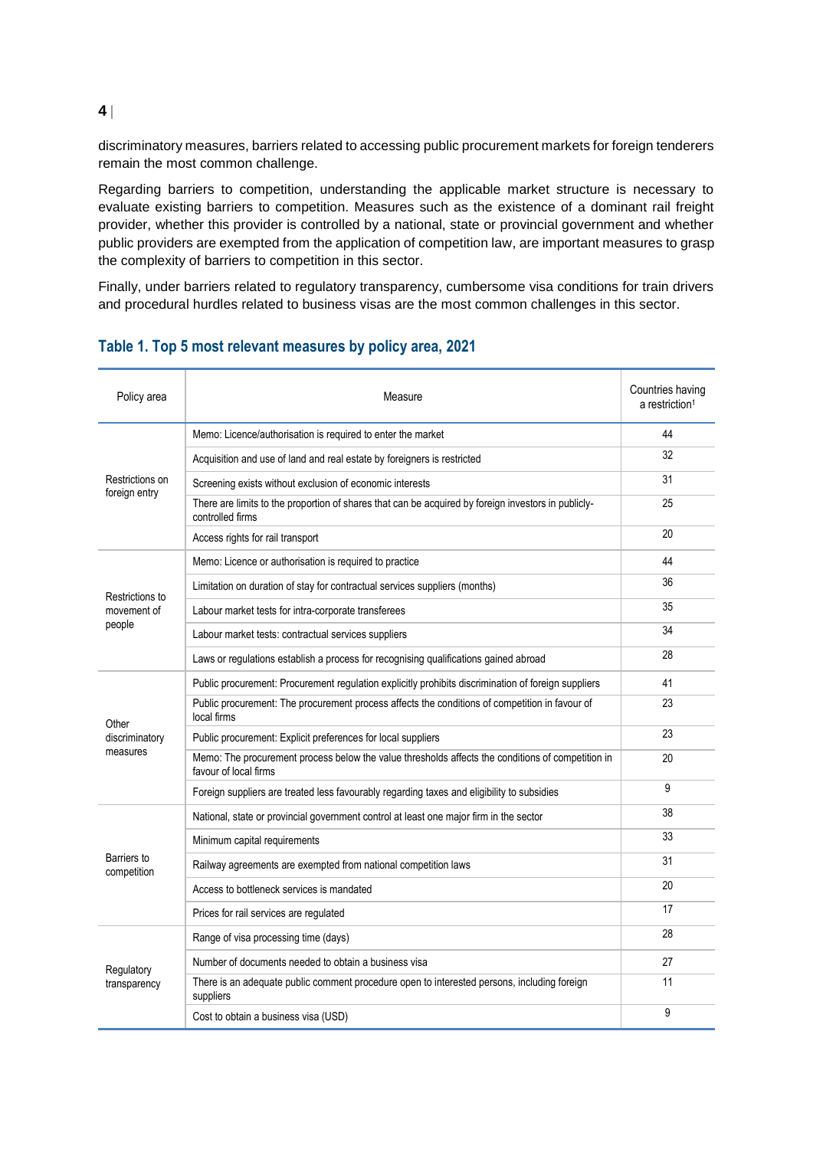discriminatory measures, barriers related to accessing public procurement markets for foreign tenderers remain the most common challenge.

Regarding barriers to competition, understanding the applicable market structure is necessary to evaluate existing barriers to competition. Measures such as the existence of a dominant rail freight provider, whether this provider is controlled by a national, state or provincial government and whether public providers are exempted from the application of competition law, are important measures to grasp the complexity of barriers to competition in this sector.

Finally, under barriers related to regulatory transparency, cumbersome visa conditions for train drivers and procedural hurdles related to business visas are the most common challenges in this sector.

| Policy area                              | Measure                                                                                                                    | Countries having<br>a restriction <sup>1</sup> |
|------------------------------------------|----------------------------------------------------------------------------------------------------------------------------|------------------------------------------------|
| Restrictions on<br>foreign entry         | Memo: Licence/authorisation is required to enter the market                                                                | 44                                             |
|                                          | Acquisition and use of land and real estate by foreigners is restricted                                                    | 32                                             |
|                                          | Screening exists without exclusion of economic interests                                                                   | 31                                             |
|                                          | There are limits to the proportion of shares that can be acquired by foreign investors in publicly-<br>controlled firms    | 25                                             |
|                                          | Access rights for rail transport                                                                                           | 20                                             |
| Restrictions to<br>movement of<br>people | Memo: Licence or authorisation is required to practice                                                                     | 44                                             |
|                                          | Limitation on duration of stay for contractual services suppliers (months)                                                 | 36                                             |
|                                          | Labour market tests for intra-corporate transferees                                                                        | 35                                             |
|                                          | Labour market tests: contractual services suppliers                                                                        | 34                                             |
|                                          | Laws or regulations establish a process for recognising qualifications gained abroad                                       | 28                                             |
| Other<br>discriminatory<br>measures      | Public procurement: Procurement regulation explicitly prohibits discrimination of foreign suppliers                        | 41                                             |
|                                          | Public procurement: The procurement process affects the conditions of competition in favour of<br>local firms              | 23                                             |
|                                          | Public procurement: Explicit preferences for local suppliers                                                               | 23                                             |
|                                          | Memo: The procurement process below the value thresholds affects the conditions of competition in<br>favour of local firms | 20                                             |
|                                          | Foreign suppliers are treated less favourably regarding taxes and eligibility to subsidies                                 | 9                                              |
| Barriers to<br>competition               | National, state or provincial government control at least one major firm in the sector                                     | 38                                             |
|                                          | Minimum capital requirements                                                                                               | 33                                             |
|                                          | Railway agreements are exempted from national competition laws                                                             | 31                                             |
|                                          | Access to bottleneck services is mandated                                                                                  | 20                                             |
|                                          | Prices for rail services are regulated                                                                                     | 17                                             |
| Regulatory<br>transparency               | Range of visa processing time (days)                                                                                       | 28                                             |
|                                          | Number of documents needed to obtain a business visa                                                                       | 27                                             |
|                                          | There is an adequate public comment procedure open to interested persons, including foreign<br>suppliers                   | 11                                             |
|                                          | Cost to obtain a business visa (USD)                                                                                       | 9                                              |

#### **Table 1. Top 5 most relevant measures by policy area, 2021**

**4**